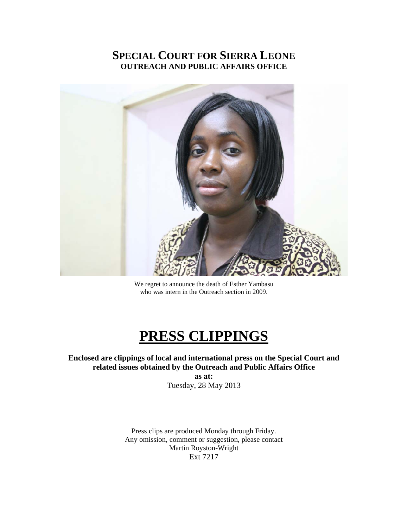# **SPECIAL COURT FOR SIERRA LEONE OUTREACH AND PUBLIC AFFAIRS OFFICE**



We regret to announce the death of Esther Yambasu who was intern in the Outreach section in 2009.

# **PRESS CLIPPINGS**

**Enclosed are clippings of local and international press on the Special Court and related issues obtained by the Outreach and Public Affairs Office as at:** 

Tuesday, 28 May 2013

Press clips are produced Monday through Friday. Any omission, comment or suggestion, please contact Martin Royston-Wright Ext 7217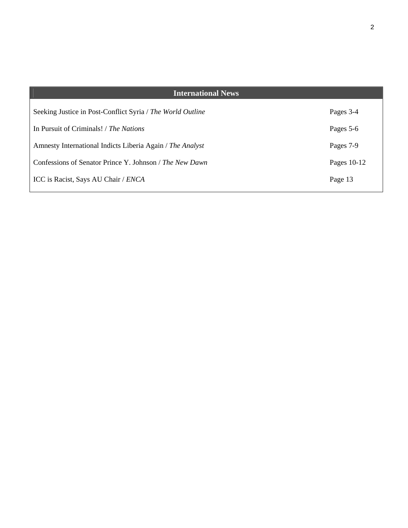| <b>International News</b>                                  |             |
|------------------------------------------------------------|-------------|
| Seeking Justice in Post-Conflict Syria / The World Outline | Pages 3-4   |
| In Pursuit of Criminals! / The Nations                     | Pages 5-6   |
| Amnesty International Indicts Liberia Again / The Analyst  | Pages 7-9   |
| Confessions of Senator Prince Y. Johnson / The New Dawn    | Pages 10-12 |
| ICC is Racist, Says AU Chair / ENCA                        | Page 13     |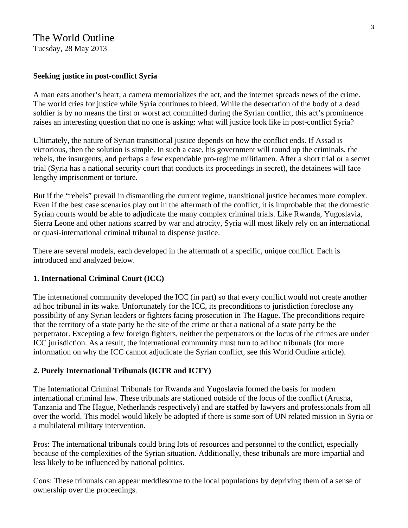# The World Outline

Tuesday, 28 May 2013

## **Seeking justice in post-conflict Syria**

A man eats another's heart, a camera memorializes the act, and the internet spreads news of the crime. The world cries for justice while Syria continues to bleed. While the desecration of the body of a dead soldier is by no means the first or worst act committed during the Syrian conflict, this act's prominence raises an interesting question that no one is asking: what will justice look like in post-conflict Syria?

Ultimately, the nature of Syrian transitional justice depends on how the conflict ends. If Assad is victorious, then the solution is simple. In such a case, his government will round up the criminals, the rebels, the insurgents, and perhaps a few expendable pro-regime militiamen. After a short trial or a secret trial (Syria has a national security court that conducts its proceedings in secret), the detainees will face lengthy imprisonment or torture.

But if the "rebels" prevail in dismantling the current regime, transitional justice becomes more complex. Even if the best case scenarios play out in the aftermath of the conflict, it is improbable that the domestic Syrian courts would be able to adjudicate the many complex criminal trials. Like Rwanda, Yugoslavia, Sierra Leone and other nations scarred by war and atrocity, Syria will most likely rely on an international or quasi-international criminal tribunal to dispense justice.

There are several models, each developed in the aftermath of a specific, unique conflict. Each is introduced and analyzed below.

## **1. International Criminal Court (ICC)**

The international community developed the ICC (in part) so that every conflict would not create another ad hoc tribunal in its wake. Unfortunately for the ICC, its preconditions to jurisdiction foreclose any possibility of any Syrian leaders or fighters facing prosecution in The Hague. The preconditions require that the territory of a state party be the site of the crime or that a national of a state party be the perpetrator. Excepting a few foreign fighters, neither the perpetrators or the locus of the crimes are under ICC jurisdiction. As a result, the international community must turn to ad hoc tribunals (for more information on why the ICC cannot adjudicate the Syrian conflict, see this World Outline article).

#### **2. Purely International Tribunals (ICTR and ICTY)**

The International Criminal Tribunals for Rwanda and Yugoslavia formed the basis for modern international criminal law. These tribunals are stationed outside of the locus of the conflict (Arusha, Tanzania and The Hague, Netherlands respectively) and are staffed by lawyers and professionals from all over the world. This model would likely be adopted if there is some sort of UN related mission in Syria or a multilateral military intervention.

Pros: The international tribunals could bring lots of resources and personnel to the conflict, especially because of the complexities of the Syrian situation. Additionally, these tribunals are more impartial and less likely to be influenced by national politics.

Cons: These tribunals can appear meddlesome to the local populations by depriving them of a sense of ownership over the proceedings.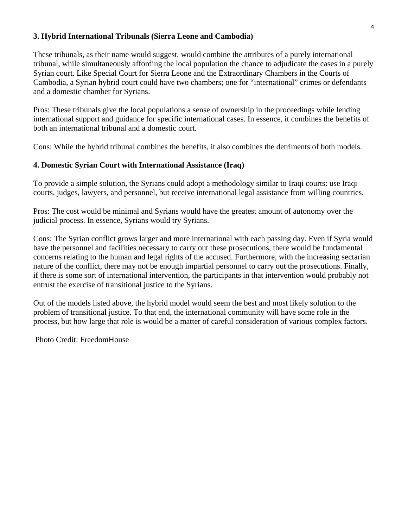## **3. Hybrid International Tribunals (Sierra Leone and Cambodia)**

These tribunals, as their name would suggest, would combine the attributes of a purely international tribunal, while simultaneously affording the local population the chance to adjudicate the cases in a purely Syrian court. Like Special Court for Sierra Leone and the Extraordinary Chambers in the Courts of Cambodia, a Syrian hybrid court could have two chambers; one for "international" crimes or defendants and a domestic chamber for Syrians.

Pros: These tribunals give the local populations a sense of ownership in the proceedings while lending international support and guidance for specific international cases. In essence, it combines the benefits of both an international tribunal and a domestic court.

Cons: While the hybrid tribunal combines the benefits, it also combines the detriments of both models.

# **4. Domestic Syrian Court with International Assistance (Iraq)**

To provide a simple solution, the Syrians could adopt a methodology similar to Iraqi courts: use Iraqi courts, judges, lawyers, and personnel, but receive international legal assistance from willing countries.

Pros: The cost would be minimal and Syrians would have the greatest amount of autonomy over the judicial process. In essence, Syrians would try Syrians.

Cons: The Syrian conflict grows larger and more international with each passing day. Even if Syria would have the personnel and facilities necessary to carry out these prosecutions, there would be fundamental concerns relating to the human and legal rights of the accused. Furthermore, with the increasing sectarian nature of the conflict, there may not be enough impartial personnel to carry out the prosecutions. Finally, if there is some sort of international intervention, the participants in that intervention would probably not entrust the exercise of transitional justice to the Syrians.

Out of the models listed above, the hybrid model would seem the best and most likely solution to the problem of transitional justice. To that end, the international community will have some role in the process, but how large that role is would be a matter of careful consideration of various complex factors.

Photo Credit: FreedomHouse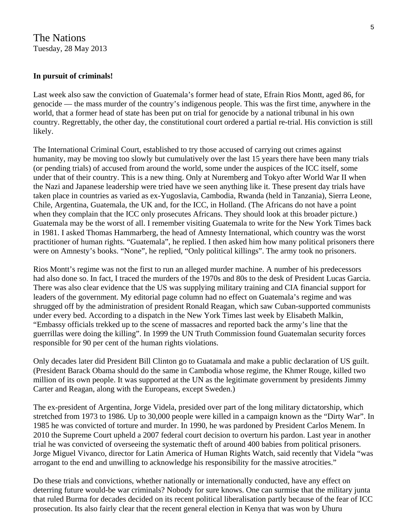# The Nations Tuesday, 28 May 2013

# **In pursuit of criminals!**

Last week also saw the conviction of Guatemala's former head of state, Efrain Rios Montt, aged 86, for genocide — the mass murder of the country's indigenous people. This was the first time, anywhere in the world, that a former head of state has been put on trial for genocide by a national tribunal in his own country. Regrettably, the other day, the constitutional court ordered a partial re-trial. His conviction is still likely.

The International Criminal Court, established to try those accused of carrying out crimes against humanity, may be moving too slowly but cumulatively over the last 15 years there have been many trials (or pending trials) of accused from around the world, some under the auspices of the ICC itself, some under that of their country. This is a new thing. Only at Nuremberg and Tokyo after World War II when the Nazi and Japanese leadership were tried have we seen anything like it. These present day trials have taken place in countries as varied as ex-Yugoslavia, Cambodia, Rwanda (held in Tanzania), Sierra Leone, Chile, Argentina, Guatemala, the UK and, for the ICC, in Holland. (The Africans do not have a point when they complain that the ICC only prosecutes Africans. They should look at this broader picture.) Guatemala may be the worst of all. I remember visiting Guatemala to write for the New York Times back in 1981. I asked Thomas Hammarberg, the head of Amnesty International, which country was the worst practitioner of human rights. "Guatemala", he replied. I then asked him how many political prisoners there were on Amnesty's books. "None", he replied, "Only political killings". The army took no prisoners.

Rios Montt's regime was not the first to run an alleged murder machine. A number of his predecessors had also done so. In fact, I traced the murders of the 1970s and 80s to the desk of President Lucas Garcia. There was also clear evidence that the US was supplying military training and CIA financial support for leaders of the government. My editorial page column had no effect on Guatemala's regime and was shrugged off by the administration of president Ronald Reagan, which saw Cuban-supported communists under every bed. According to a dispatch in the New York Times last week by Elisabeth Malkin, "Embassy officials trekked up to the scene of massacres and reported back the army's line that the guerrillas were doing the killing". In 1999 the UN Truth Commission found Guatemalan security forces responsible for 90 per cent of the human rights violations.

Only decades later did President Bill Clinton go to Guatamala and make a public declaration of US guilt. (President Barack Obama should do the same in Cambodia whose regime, the Khmer Rouge, killed two million of its own people. It was supported at the UN as the legitimate government by presidents Jimmy Carter and Reagan, along with the Europeans, except Sweden.)

The ex-president of Argentina, Jorge Videla, presided over part of the long military dictatorship, which stretched from 1973 to 1986. Up to 30,000 people were killed in a campaign known as the "Dirty War". In 1985 he was convicted of torture and murder. In 1990, he was pardoned by President Carlos Menem. In 2010 the Supreme Court upheld a 2007 federal court decision to overturn his pardon. Last year in another trial he was convicted of overseeing the systematic theft of around 400 babies from political prisoners. Jorge Miguel Vivanco, director for Latin America of Human Rights Watch, said recently that Videla "was arrogant to the end and unwilling to acknowledge his responsibility for the massive atrocities."

Do these trials and convictions, whether nationally or internationally conducted, have any effect on deterring future would-be war criminals? Nobody for sure knows. One can surmise that the military junta that ruled Burma for decades decided on its recent political liberalisation partly because of the fear of ICC prosecution. Its also fairly clear that the recent general election in Kenya that was won by Uhuru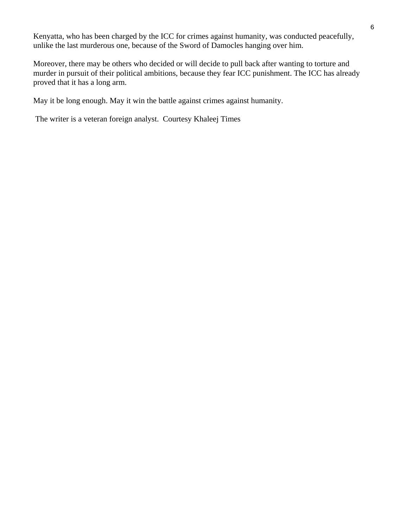Kenyatta, who has been charged by the ICC for crimes against humanity, was conducted peacefully, unlike the last murderous one, because of the Sword of Damocles hanging over him.

Moreover, there may be others who decided or will decide to pull back after wanting to torture and murder in pursuit of their political ambitions, because they fear ICC punishment. The ICC has already proved that it has a long arm.

May it be long enough. May it win the battle against crimes against humanity.

The writer is a veteran foreign analyst. Courtesy Khaleej Times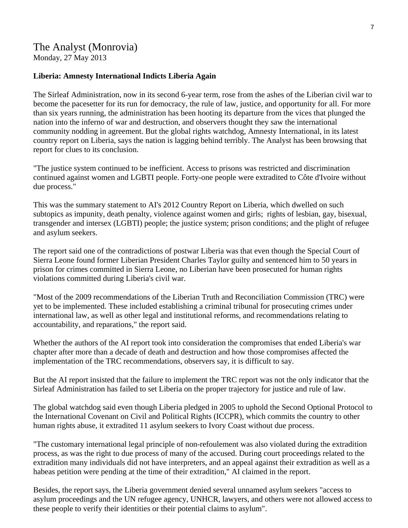# The Analyst (Monrovia) Monday, 27 May 2013

#### **Liberia: Amnesty International Indicts Liberia Again**

The Sirleaf Administration, now in its second 6-year term, rose from the ashes of the Liberian civil war to become the pacesetter for its run for democracy, the rule of law, justice, and opportunity for all. For more than six years running, the administration has been hooting its departure from the vices that plunged the nation into the inferno of war and destruction, and observers thought they saw the international community nodding in agreement. But the global rights watchdog, Amnesty International, in its latest country report on Liberia, says the nation is lagging behind terribly. The Analyst has been browsing that report for clues to its conclusion.

"The justice system continued to be inefficient. Access to prisons was restricted and discrimination continued against women and LGBTI people. Forty-one people were extradited to Côte d'Ivoire without due process."

This was the summary statement to AI's 2012 Country Report on Liberia, which dwelled on such subtopics as impunity, death penalty, violence against women and girls; rights of lesbian, gay, bisexual, transgender and intersex (LGBTI) people; the justice system; prison conditions; and the plight of refugee and asylum seekers.

The report said one of the contradictions of postwar Liberia was that even though the Special Court of Sierra Leone found former Liberian President Charles Taylor guilty and sentenced him to 50 years in prison for crimes committed in Sierra Leone, no Liberian have been prosecuted for human rights violations committed during Liberia's civil war.

"Most of the 2009 recommendations of the Liberian Truth and Reconciliation Commission (TRC) were yet to be implemented. These included establishing a criminal tribunal for prosecuting crimes under international law, as well as other legal and institutional reforms, and recommendations relating to accountability, and reparations," the report said.

Whether the authors of the AI report took into consideration the compromises that ended Liberia's war chapter after more than a decade of death and destruction and how those compromises affected the implementation of the TRC recommendations, observers say, it is difficult to say.

But the AI report insisted that the failure to implement the TRC report was not the only indicator that the Sirleaf Administration has failed to set Liberia on the proper trajectory for justice and rule of law.

The global watchdog said even though Liberia pledged in 2005 to uphold the Second Optional Protocol to the International Covenant on Civil and Political Rights (ICCPR), which commits the country to other human rights abuse, it extradited 11 asylum seekers to Ivory Coast without due process.

"The customary international legal principle of non-refoulement was also violated during the extradition process, as was the right to due process of many of the accused. During court proceedings related to the extradition many individuals did not have interpreters, and an appeal against their extradition as well as a habeas petition were pending at the time of their extradition," AI claimed in the report.

Besides, the report says, the Liberia government denied several unnamed asylum seekers "access to asylum proceedings and the UN refugee agency, UNHCR, lawyers, and others were not allowed access to these people to verify their identities or their potential claims to asylum".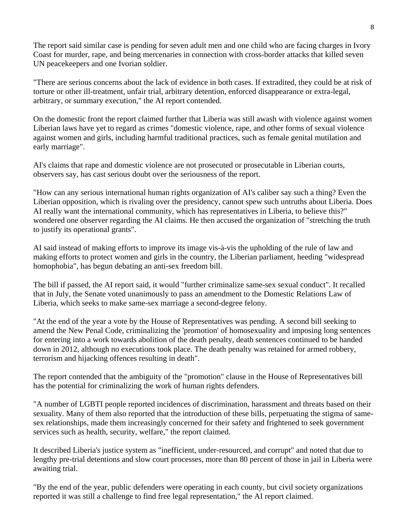The report said similar case is pending for seven adult men and one child who are facing charges in Ivory Coast for murder, rape, and being mercenaries in connection with cross-border attacks that killed seven UN peacekeepers and one Ivorian soldier.

"There are serious concerns about the lack of evidence in both cases. If extradited, they could be at risk of torture or other ill-treatment, unfair trial, arbitrary detention, enforced disappearance or extra-legal, arbitrary, or summary execution," the AI report contended.

On the domestic front the report claimed further that Liberia was still awash with violence against women Liberian laws have yet to regard as crimes "domestic violence, rape, and other forms of sexual violence against women and girls, including harmful traditional practices, such as female genital mutilation and early marriage".

AI's claims that rape and domestic violence are not prosecuted or prosecutable in Liberian courts, observers say, has cast serious doubt over the seriousness of the report.

"How can any serious international human rights organization of AI's caliber say such a thing? Even the Liberian opposition, which is rivaling over the presidency, cannot spew such untruths about Liberia. Does AI really want the international community, which has representatives in Liberia, to believe this?" wondered one observer regarding the AI claims. He then accused the organization of "stretching the truth to justify its operational grants".

AI said instead of making efforts to improve its image vis-à-vis the upholding of the rule of law and making efforts to protect women and girls in the country, the Liberian parliament, heeding "widespread homophobia", has begun debating an anti-sex freedom bill.

The bill if passed, the AI report said, it would "further criminalize same-sex sexual conduct". It recalled that in July, the Senate voted unanimously to pass an amendment to the Domestic Relations Law of Liberia, which seeks to make same-sex marriage a second-degree felony.

"At the end of the year a vote by the House of Representatives was pending. A second bill seeking to amend the New Penal Code, criminalizing the 'promotion' of homosexuality and imposing long sentences for entering into a work towards abolition of the death penalty, death sentences continued to be handed down in 2012, although no executions took place. The death penalty was retained for armed robbery, terrorism and hijacking offences resulting in death".

The report contended that the ambiguity of the "promotion" clause in the House of Representatives bill has the potential for criminalizing the work of human rights defenders.

"A number of LGBTI people reported incidences of discrimination, harassment and threats based on their sexuality. Many of them also reported that the introduction of these bills, perpetuating the stigma of samesex relationships, made them increasingly concerned for their safety and frightened to seek government services such as health, security, welfare," the report claimed.

It described Liberia's justice system as "inefficient, under-resourced, and corrupt" and noted that due to lengthy pre-trial detentions and slow court processes, more than 80 percent of those in jail in Liberia were awaiting trial.

"By the end of the year, public defenders were operating in each county, but civil society organizations reported it was still a challenge to find free legal representation," the AI report claimed.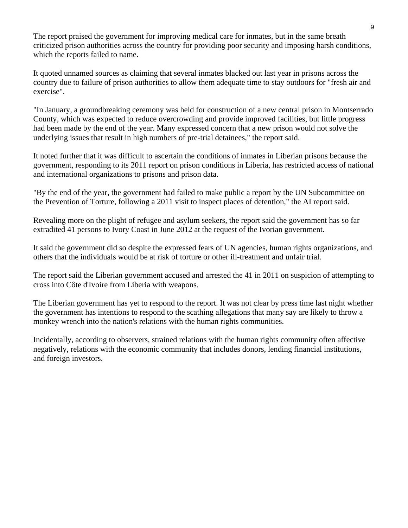The report praised the government for improving medical care for inmates, but in the same breath criticized prison authorities across the country for providing poor security and imposing harsh conditions, which the reports failed to name.

It quoted unnamed sources as claiming that several inmates blacked out last year in prisons across the country due to failure of prison authorities to allow them adequate time to stay outdoors for "fresh air and exercise".

"In January, a groundbreaking ceremony was held for construction of a new central prison in Montserrado County, which was expected to reduce overcrowding and provide improved facilities, but little progress had been made by the end of the year. Many expressed concern that a new prison would not solve the underlying issues that result in high numbers of pre-trial detainees," the report said.

It noted further that it was difficult to ascertain the conditions of inmates in Liberian prisons because the government, responding to its 2011 report on prison conditions in Liberia, has restricted access of national and international organizations to prisons and prison data.

"By the end of the year, the government had failed to make public a report by the UN Subcommittee on the Prevention of Torture, following a 2011 visit to inspect places of detention," the AI report said.

Revealing more on the plight of refugee and asylum seekers, the report said the government has so far extradited 41 persons to Ivory Coast in June 2012 at the request of the Ivorian government.

It said the government did so despite the expressed fears of UN agencies, human rights organizations, and others that the individuals would be at risk of torture or other ill-treatment and unfair trial.

The report said the Liberian government accused and arrested the 41 in 2011 on suspicion of attempting to cross into Côte d'Ivoire from Liberia with weapons.

The Liberian government has yet to respond to the report. It was not clear by press time last night whether the government has intentions to respond to the scathing allegations that many say are likely to throw a monkey wrench into the nation's relations with the human rights communities.

Incidentally, according to observers, strained relations with the human rights community often affective negatively, relations with the economic community that includes donors, lending financial institutions, and foreign investors.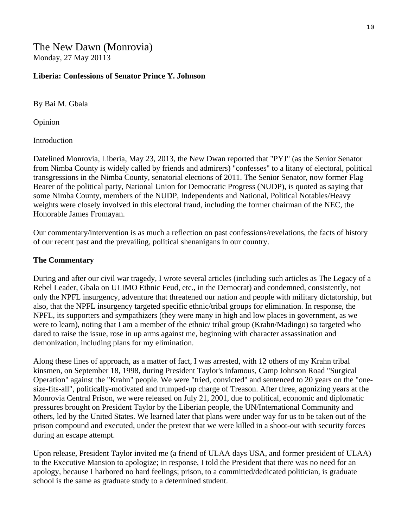The New Dawn (Monrovia) Monday, 27 May 20113

#### **Liberia: Confessions of Senator Prince Y. Johnson**

By Bai M. Gbala

Opinion

Introduction

Datelined Monrovia, Liberia, May 23, 2013, the New Dwan reported that "PYJ" (as the Senior Senator from Nimba County is widely called by friends and admirers) "confesses" to a litany of electoral, political transgressions in the Nimba County, senatorial elections of 2011. The Senior Senator, now former Flag Bearer of the political party, National Union for Democratic Progress (NUDP), is quoted as saying that some Nimba County, members of the NUDP, Independents and National, Political Notables/Heavy weights were closely involved in this electoral fraud, including the former chairman of the NEC, the Honorable James Fromayan.

Our commentary/intervention is as much a reflection on past confessions/revelations, the facts of history of our recent past and the prevailing, political shenanigans in our country.

#### **The Commentary**

During and after our civil war tragedy, I wrote several articles (including such articles as The Legacy of a Rebel Leader, Gbala on ULIMO Ethnic Feud, etc., in the Democrat) and condemned, consistently, not only the NPFL insurgency, adventure that threatened our nation and people with military dictatorship, but also, that the NPFL insurgency targeted specific ethnic/tribal groups for elimination. In response, the NPFL, its supporters and sympathizers (they were many in high and low places in government, as we were to learn), noting that I am a member of the ethnic/ tribal group (Krahn/Madingo) so targeted who dared to raise the issue, rose in up arms against me, beginning with character assassination and demonization, including plans for my elimination.

Along these lines of approach, as a matter of fact, I was arrested, with 12 others of my Krahn tribal kinsmen, on September 18, 1998, during President Taylor's infamous, Camp Johnson Road "Surgical Operation" against the "Krahn" people. We were "tried, convicted" and sentenced to 20 years on the "onesize-fits-all", politically-motivated and trumped-up charge of Treason. After three, agonizing years at the Monrovia Central Prison, we were released on July 21, 2001, due to political, economic and diplomatic pressures brought on President Taylor by the Liberian people, the UN/International Community and others, led by the United States. We learned later that plans were under way for us to be taken out of the prison compound and executed, under the pretext that we were killed in a shoot-out with security forces during an escape attempt.

Upon release, President Taylor invited me (a friend of ULAA days USA, and former president of ULAA) to the Executive Mansion to apologize; in response, I told the President that there was no need for an apology, because I harbored no hard feelings; prison, to a committed/dedicated politician, is graduate school is the same as graduate study to a determined student.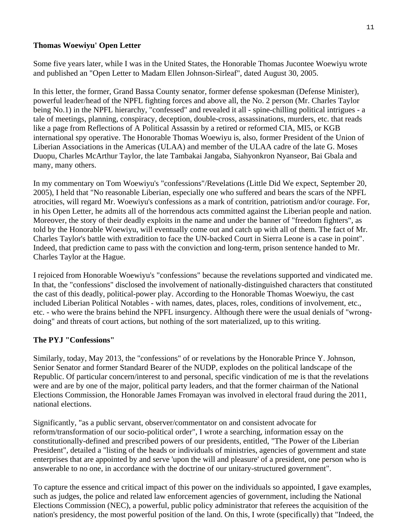# **Thomas Woewiyu' Open Letter**

Some five years later, while I was in the United States, the Honorable Thomas Jucontee Woewiyu wrote and published an "Open Letter to Madam Ellen Johnson-Sirleaf", dated August 30, 2005.

In this letter, the former, Grand Bassa County senator, former defense spokesman (Defense Minister), powerful leader/head of the NPFL fighting forces and above all, the No. 2 person (Mr. Charles Taylor being No.1) in the NPFL hierarchy, "confessed" and revealed it all - spine-chilling political intrigues - a tale of meetings, planning, conspiracy, deception, double-cross, assassinations, murders, etc. that reads like a page from Reflections of A Political Assassin by a retired or reformed CIA, MI5, or KGB international spy operative. The Honorable Thomas Woewiyu is, also, former President of the Union of Liberian Associations in the Americas (ULAA) and member of the ULAA cadre of the late G. Moses Duopu, Charles McArthur Taylor, the late Tambakai Jangaba, Siahyonkron Nyanseor, Bai Gbala and many, many others.

In my commentary on Tom Woewiyu's "confessions"/Revelations (Little Did We expect, September 20, 2005), I held that "No reasonable Liberian, especially one who suffered and bears the scars of the NPFL atrocities, will regard Mr. Woewiyu's confessions as a mark of contrition, patriotism and/or courage. For, in his Open Letter, he admits all of the horrendous acts committed against the Liberian people and nation. Moreover, the story of their deadly exploits in the name and under the banner of "freedom fighters", as told by the Honorable Woewiyu, will eventually come out and catch up with all of them. The fact of Mr. Charles Taylor's battle with extradition to face the UN-backed Court in Sierra Leone is a case in point". Indeed, that prediction came to pass with the conviction and long-term, prison sentence handed to Mr. Charles Taylor at the Hague.

I rejoiced from Honorable Woewiyu's "confessions" because the revelations supported and vindicated me. In that, the "confessions" disclosed the involvement of nationally-distinguished characters that constituted the cast of this deadly, political-power play. According to the Honorable Thomas Woewiyu, the cast included Liberian Political Notables - with names, dates, places, roles, conditions of involvement, etc., etc. - who were the brains behind the NPFL insurgency. Although there were the usual denials of "wrongdoing" and threats of court actions, but nothing of the sort materialized, up to this writing.

# **The PYJ "Confessions"**

Similarly, today, May 2013, the "confessions" of or revelations by the Honorable Prince Y. Johnson, Senior Senator and former Standard Bearer of the NUDP, explodes on the political landscape of the Republic. Of particular concern/interest to and personal, specific vindication of me is that the revelations were and are by one of the major, political party leaders, and that the former chairman of the National Elections Commission, the Honorable James Fromayan was involved in electoral fraud during the 2011, national elections.

Significantly, "as a public servant, observer/commentator on and consistent advocate for reform/transformation of our socio-political order", I wrote a searching, information essay on the constitutionally-defined and prescribed powers of our presidents, entitled, "The Power of the Liberian President", detailed a "listing of the heads or individuals of ministries, agencies of government and state enterprises that are appointed by and serve 'upon the will and pleasure' of a president, one person who is answerable to no one, in accordance with the doctrine of our unitary-structured government".

To capture the essence and critical impact of this power on the individuals so appointed, I gave examples, such as judges, the police and related law enforcement agencies of government, including the National Elections Commission (NEC), a powerful, public policy administrator that referees the acquisition of the nation's presidency, the most powerful position of the land. On this, I wrote (specifically) that "Indeed, the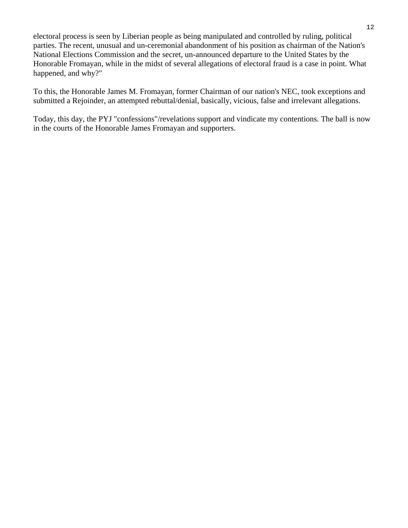electoral process is seen by Liberian people as being manipulated and controlled by ruling, political parties. The recent, unusual and un-ceremonial abandonment of his position as chairman of the Nation's National Elections Commission and the secret, un-announced departure to the United States by the Honorable Fromayan, while in the midst of several allegations of electoral fraud is a case in point. What happened, and why?"

To this, the Honorable James M. Fromayan, former Chairman of our nation's NEC, took exceptions and submitted a Rejoinder, an attempted rebuttal/denial, basically, vicious, false and irrelevant allegations.

Today, this day, the PYJ "confessions"/revelations support and vindicate my contentions. The ball is now in the courts of the Honorable James Fromayan and supporters.